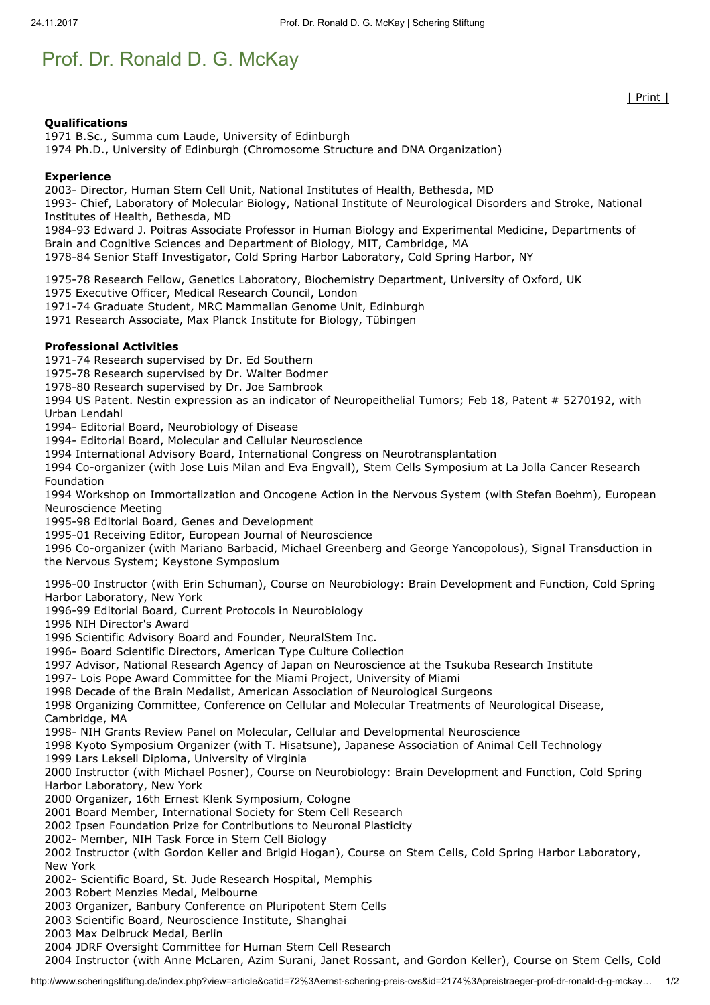## Prof. Dr. Ronald D. G. McKay

## Qualifications

1971 B.Sc., Summa cum Laude, University of Edinburgh 1974 Ph.D., University of Edinburgh (Chromosome Structure and DNA Organization)

## Experience

2003- Director, Human Stem Cell Unit, National Institutes of Health, Bethesda, MD

1993- Chief, Laboratory of Molecular Biology, National Institute of Neurological Disorders and Stroke, National Institutes of Health, Bethesda, MD

1984-93 Edward J. Poitras Associate Professor in Human Biology and Experimental Medicine, Departments of Brain and Cognitive Sciences and Department of Biology, MIT, Cambridge, MA

1978-84 Senior Staff Investigator, Cold Spring Harbor Laboratory, Cold Spring Harbor, NY

1975-78 Research Fellow, Genetics Laboratory, Biochemistry Department, University of Oxford, UK

1975 Executive Officer, Medical Research Council, London

1971-74 Graduate Student, MRC Mammalian Genome Unit, Edinburgh

1971 Research Associate, Max Planck Institute for Biology, Tübingen

## Professional Activities

1971-74 Research supervised by Dr. Ed Southern

1975-78 Research supervised by Dr. Walter Bodmer

1978-80 Research supervised by Dr. Joe Sambrook

1994 US Patent. Nestin expression as an indicator of Neuropeithelial Tumors; Feb 18, Patent # 5270192, with Urban Lendahl

1994- Editorial Board, Neurobiology of Disease

1994- Editorial Board, Molecular and Cellular Neuroscience

1994 International Advisory Board, International Congress on Neurotransplantation

1994 Co-organizer (with Jose Luis Milan and Eva Engvall), Stem Cells Symposium at La Jolla Cancer Research Foundation

1994 Workshop on Immortalization and Oncogene Action in the Nervous System (with Stefan Boehm), European Neuroscience Meeting

1995-98 Editorial Board, Genes and Development

1995-01 Receiving Editor, European Journal of Neuroscience

1996 Co-organizer (with Mariano Barbacid, Michael Greenberg and George Yancopolous), Signal Transduction in the Nervous System; Keystone Symposium

1996-00 Instructor (with Erin Schuman), Course on Neurobiology: Brain Development and Function, Cold Spring Harbor Laboratory, New York

1996-99 Editorial Board, Current Protocols in Neurobiology

1996 NIH Director's Award

1996 Scientific Advisory Board and Founder, NeuralStem Inc.

1996- Board Scientific Directors, American Type Culture Collection

1997 Advisor, National Research Agency of Japan on Neuroscience at the Tsukuba Research Institute

1997- Lois Pope Award Committee for the Miami Project, University of Miami

1998 Decade of the Brain Medalist, American Association of Neurological Surgeons

1998 Organizing Committee, Conference on Cellular and Molecular Treatments of Neurological Disease, Cambridge, MA

1998- NIH Grants Review Panel on Molecular, Cellular and Developmental Neuroscience

1998 Kyoto Symposium Organizer (with T. Hisatsune), Japanese Association of Animal Cell Technology 1999 Lars Leksell Diploma, University of Virginia

2000 Instructor (with Michael Posner), Course on Neurobiology: Brain Development and Function, Cold Spring Harbor Laboratory, New York

2000 Organizer, 16th Ernest Klenk Symposium, Cologne

2001 Board Member, International Society for Stem Cell Research

2002 Ipsen Foundation Prize for Contributions to Neuronal Plasticity

2002- Member, NIH Task Force in Stem Cell Biology

2002 Instructor (with Gordon Keller and Brigid Hogan), Course on Stem Cells, Cold Spring Harbor Laboratory, New York

2002- Scientific Board, St. Jude Research Hospital, Memphis

2003 Robert Menzies Medal, Melbourne

2003 Organizer, Banbury Conference on Pluripotent Stem Cells

2003 Scientific Board, Neuroscience Institute, Shanghai

2003 Max Delbruck Medal, Berlin

2004 JDRF Oversight Committee for Human Stem Cell Research

2004 Instructor (with Anne McLaren, Azim Surani, Janet Rossant, and Gordon Keller), Course on Stem Cells, Cold

| Print |